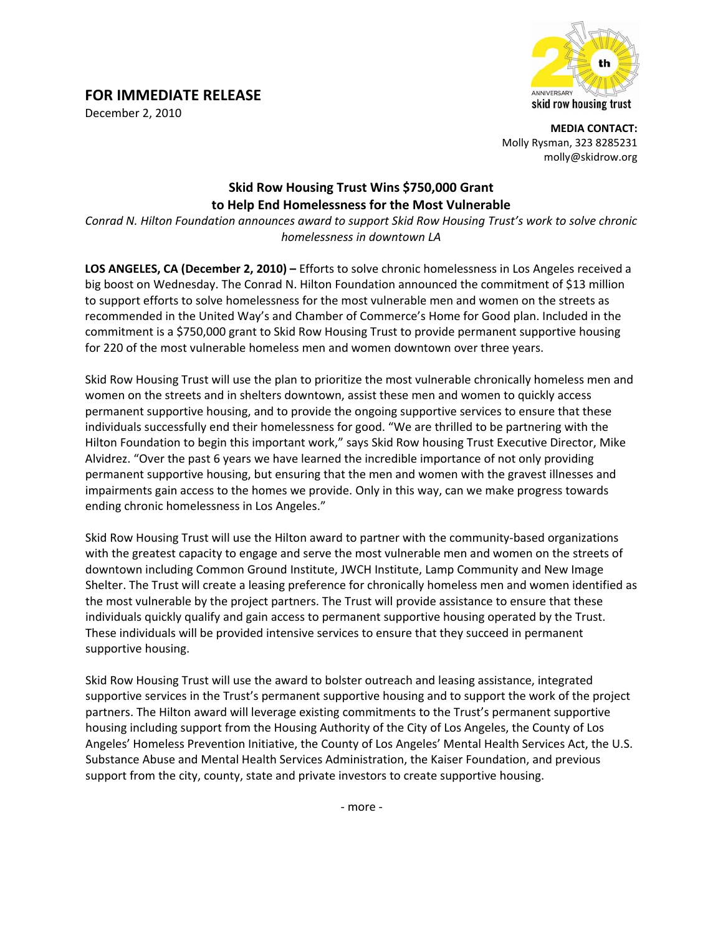## **FOR IMMEDIATE RELEASE**

December 2, 2010



**MEDIA CONTACT:** Molly Rysman, 323 8285231 molly@skidrow.org

## **Skid Row Housing Trust Wins \$750,000 Grant to Help End Homelessness for the Most Vulnerable**

*Conrad N. Hilton Foundation announces award to support Skid Row Housing Trust's work to solve chronic homelessness in downtown LA*

**LOS ANGELES, CA (December 2, 2010) –** Efforts to solve chronic homelessness in Los Angeles received a big boost on Wednesday. The Conrad N. Hilton Foundation announced the commitment of \$13 million to support efforts to solve homelessness for the most vulnerable men and women on the streets as recommended in the United Way's and Chamber of Commerce's Home for Good plan. Included in the commitment is a \$750,000 grant to Skid Row Housing Trust to provide permanent supportive housing for 220 of the most vulnerable homeless men and women downtown over three years.

Skid Row Housing Trust will use the plan to prioritize the most vulnerable chronically homeless men and women on the streets and in shelters downtown, assist these men and women to quickly access permanent supportive housing, and to provide the ongoing supportive services to ensure that these individuals successfully end their homelessness for good. "We are thrilled to be partnering with the Hilton Foundation to begin this important work," says Skid Row housing Trust Executive Director, Mike Alvidrez. "Over the past 6 years we have learned the incredible importance of not only providing permanent supportive housing, but ensuring that the men and women with the gravest illnesses and impairments gain access to the homes we provide. Only in this way, can we make progress towards ending chronic homelessness in Los Angeles."

Skid Row Housing Trust will use the Hilton award to partner with the community-based organizations with the greatest capacity to engage and serve the most vulnerable men and women on the streets of downtown including Common Ground Institute, JWCH Institute, Lamp Community and New Image Shelter. The Trust will create a leasing preference for chronically homeless men and women identified as the most vulnerable by the project partners. The Trust will provide assistance to ensure that these individuals quickly qualify and gain access to permanent supportive housing operated by the Trust. These individuals will be provided intensive services to ensure that they succeed in permanent supportive housing.

Skid Row Housing Trust will use the award to bolster outreach and leasing assistance, integrated supportive services in the Trust's permanent supportive housing and to support the work of the project partners. The Hilton award will leverage existing commitments to the Trust's permanent supportive housing including support from the Housing Authority of the City of Los Angeles, the County of Los Angeles' Homeless Prevention Initiative, the County of Los Angeles' Mental Health Services Act, the U.S. Substance Abuse and Mental Health Services Administration, the Kaiser Foundation, and previous support from the city, county, state and private investors to create supportive housing.

‐ more ‐